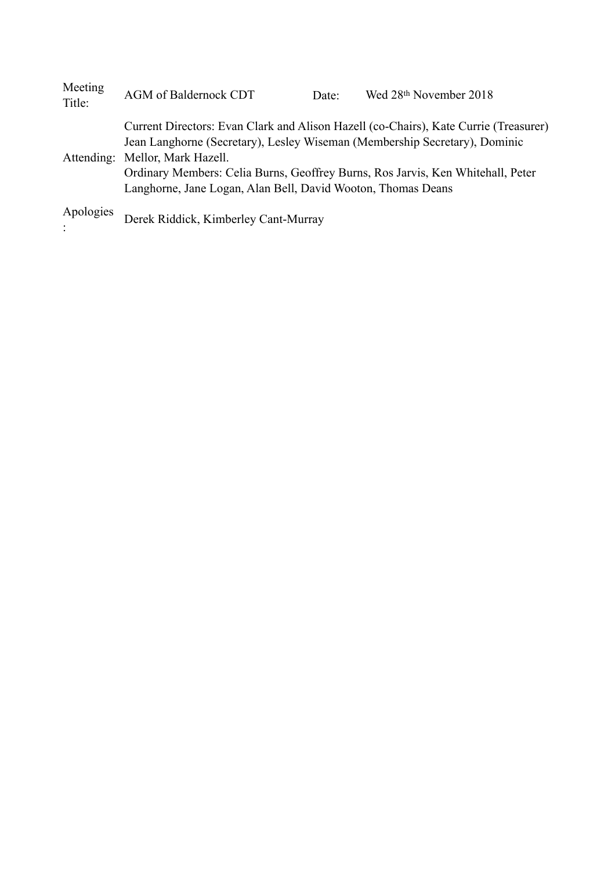| Meeting<br>Title: | AGM of Baldernock CDT                                                                                                                                                                                                                                                                                                                                    | Date: | Wed 28th November 2018 |
|-------------------|----------------------------------------------------------------------------------------------------------------------------------------------------------------------------------------------------------------------------------------------------------------------------------------------------------------------------------------------------------|-------|------------------------|
|                   | Current Directors: Evan Clark and Alison Hazell (co-Chairs), Kate Currie (Treasurer)<br>Jean Langhorne (Secretary), Lesley Wiseman (Membership Secretary), Dominic<br>Attending: Mellor, Mark Hazell.<br>Ordinary Members: Celia Burns, Geoffrey Burns, Ros Jarvis, Ken Whitehall, Peter<br>Langhorne, Jane Logan, Alan Bell, David Wooton, Thomas Deans |       |                        |
| Apologies         | Derek Riddick, Kimberley Cant-Murray                                                                                                                                                                                                                                                                                                                     |       |                        |